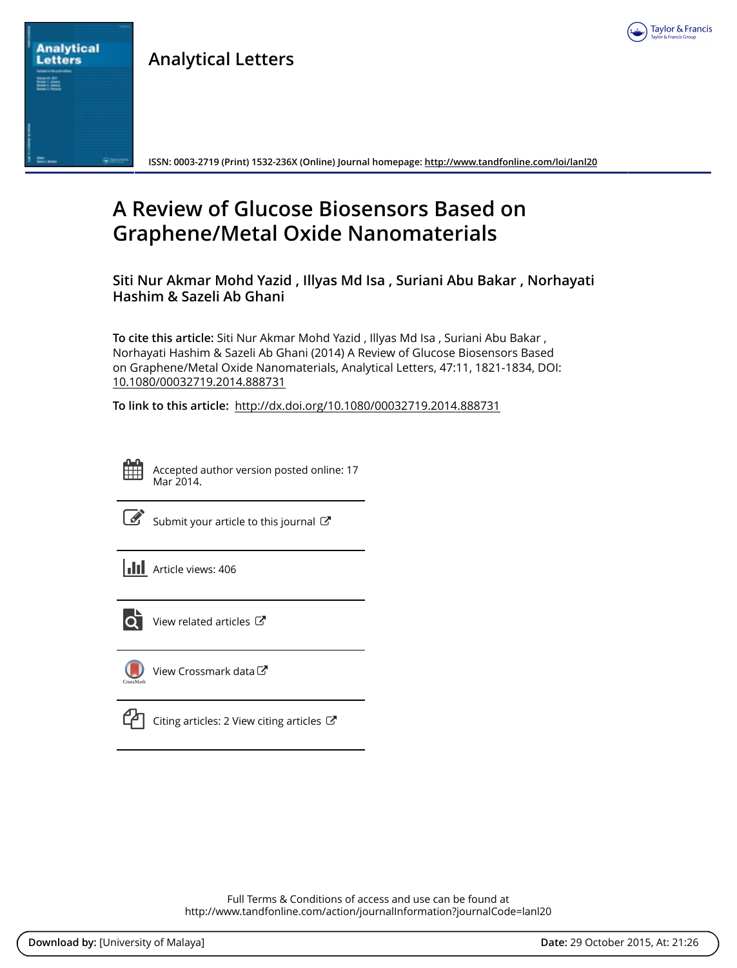

**Analytical Letters**

**ISSN: 0003-2719 (Print) 1532-236X (Online) Journal homepage: <http://www.tandfonline.com/loi/lanl20>**

# **A Review of Glucose Biosensors Based on Graphene/Metal Oxide Nanomaterials**

**Siti Nur Akmar Mohd Yazid , Illyas Md Isa , Suriani Abu Bakar , Norhayati Hashim & Sazeli Ab Ghani**

**To cite this article:** Siti Nur Akmar Mohd Yazid , Illyas Md Isa , Suriani Abu Bakar , Norhayati Hashim & Sazeli Ab Ghani (2014) A Review of Glucose Biosensors Based on Graphene/Metal Oxide Nanomaterials, Analytical Letters, 47:11, 1821-1834, DOI: [10.1080/00032719.2014.888731](http://www.tandfonline.com/action/showCitFormats?doi=10.1080/00032719.2014.888731)

**To link to this article:** <http://dx.doi.org/10.1080/00032719.2014.888731>

**Analytical Letters** 

> Accepted author version posted online: 17 Mar 2014.

|--|

[Submit your article to this journal](http://www.tandfonline.com/action/authorSubmission?journalCode=lanl20&page=instructions)  $\mathbb{Z}$ 

**Article views: 406** 



[View related articles](http://www.tandfonline.com/doi/mlt/10.1080/00032719.2014.888731) C



[View Crossmark data](http://crossmark.crossref.org/dialog/?doi=10.1080/00032719.2014.888731&domain=pdf&date_stamp=2014-03-17)<sup>C</sup>

[Citing articles: 2 View citing articles](http://www.tandfonline.com/doi/citedby/10.1080/00032719.2014.888731#tabModule) 

Full Terms & Conditions of access and use can be found at <http://www.tandfonline.com/action/journalInformation?journalCode=lanl20>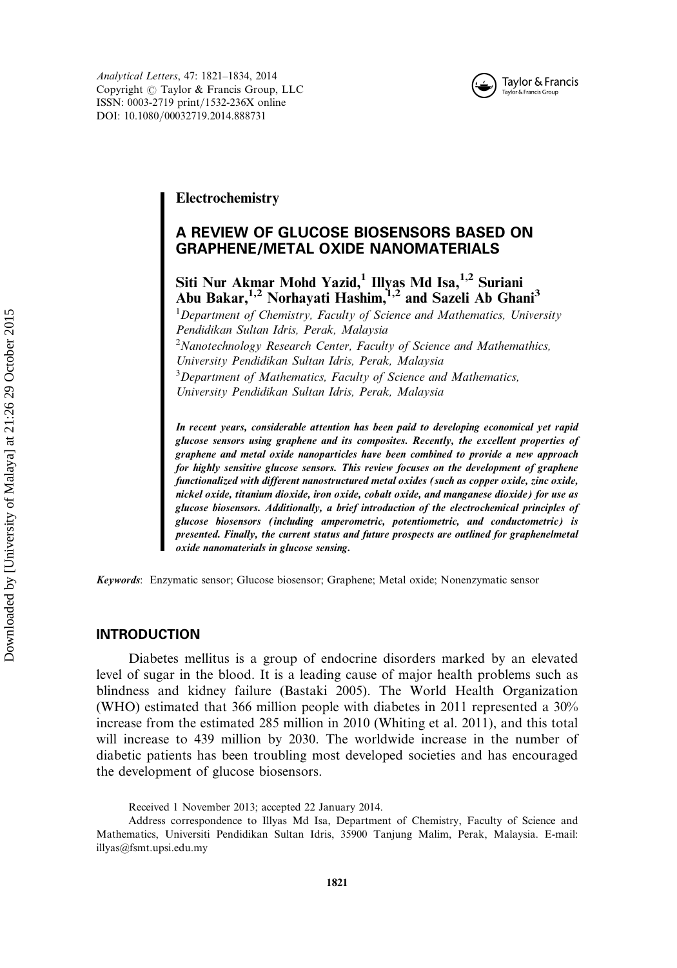

Analytical Letters, 47: 1821–1834, 2014 Copyright  $\oslash$  Taylor & Francis Group, LLC ISSN: 0003-2719 print/1532-236X online DOI: 10.1080/00032719.2014.888731

# Electrochemistry

# A REVIEW OF GLUCOSE BIOSENSORS BASED ON GRAPHENE/METAL OXIDE NANOMATERIALS

# Siti Nur Akmar Mohd Yazid,<sup>1</sup> Illyas Md Isa,<sup>1,2</sup> Suriani Abu Bakar,<sup>1,2</sup> Norhayati Hashim,<sup>1,2</sup> and Sazeli Ab Ghani<sup>3</sup>

<sup>1</sup>Department of Chemistry, Faculty of Science and Mathematics, University Pendidikan Sultan Idris, Perak, Malaysia  $2N$ anotechnology Research Center, Faculty of Science and Mathemathics, University Pendidikan Sultan Idris, Perak, Malaysia  $3$ Department of Mathematics, Faculty of Science and Mathematics, University Pendidikan Sultan Idris, Perak, Malaysia

In recent years, considerable attention has been paid to developing economical yet rapid glucose sensors using graphene and its composites. Recently, the excellent properties of graphene and metal oxide nanoparticles have been combined to provide a new approach for highly sensitive glucose sensors. This review focuses on the development of graphene functionalized with different nanostructured metal oxides (such as copper oxide, zinc oxide, nickel oxide, titanium dioxide, iron oxide, cobalt oxide, and manganese dioxide) for use as glucose biosensors. Additionally, a brief introduction of the electrochemical principles of glucose biosensors (including amperometric, potentiometric, and conductometric) is presented. Finally, the current status and future prospects are outlined for graphenelmetal oxide nanomaterials in glucose sensing.

Keywords: Enzymatic sensor; Glucose biosensor; Graphene; Metal oxide; Nonenzymatic sensor

#### INTRODUCTION

Diabetes mellitus is a group of endocrine disorders marked by an elevated level of sugar in the blood. It is a leading cause of major health problems such as blindness and kidney failure (Bastaki 2005). The World Health Organization (WHO) estimated that 366 million people with diabetes in 2011 represented a 30% increase from the estimated 285 million in 2010 (Whiting et al. 2011), and this total will increase to 439 million by 2030. The worldwide increase in the number of diabetic patients has been troubling most developed societies and has encouraged the development of glucose biosensors.

Received 1 November 2013; accepted 22 January 2014.

Address correspondence to Illyas Md Isa, Department of Chemistry, Faculty of Science and Mathematics, Universiti Pendidikan Sultan Idris, 35900 Tanjung Malim, Perak, Malaysia. E-mail: illyas@fsmt.upsi.edu.my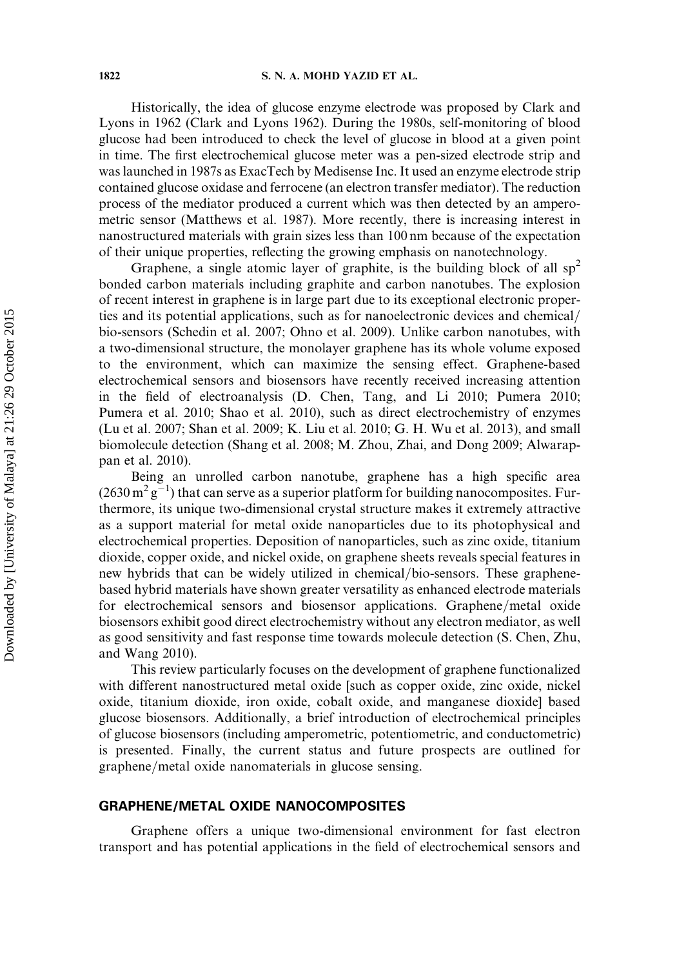Historically, the idea of glucose enzyme electrode was proposed by Clark and Lyons in 1962 (Clark and Lyons 1962). During the 1980s, self-monitoring of blood glucose had been introduced to check the level of glucose in blood at a given point in time. The first electrochemical glucose meter was a pen-sized electrode strip and was launched in 1987s as ExacTech by Medisense Inc. It used an enzyme electrode strip contained glucose oxidase and ferrocene (an electron transfer mediator). The reduction process of the mediator produced a current which was then detected by an amperometric sensor (Matthews et al. 1987). More recently, there is increasing interest in nanostructured materials with grain sizes less than 100 nm because of the expectation of their unique properties, reflecting the growing emphasis on nanotechnology.

Graphene, a single atomic layer of graphite, is the building block of all  $sp<sup>2</sup>$ bonded carbon materials including graphite and carbon nanotubes. The explosion of recent interest in graphene is in large part due to its exceptional electronic properties and its potential applications, such as for nanoelectronic devices and chemical/ bio-sensors (Schedin et al. 2007; Ohno et al. 2009). Unlike carbon nanotubes, with a two-dimensional structure, the monolayer graphene has its whole volume exposed to the environment, which can maximize the sensing effect. Graphene-based electrochemical sensors and biosensors have recently received increasing attention in the field of electroanalysis (D. Chen, Tang, and Li 2010; Pumera 2010; Pumera et al. 2010; Shao et al. 2010), such as direct electrochemistry of enzymes (Lu et al. 2007; Shan et al. 2009; K. Liu et al. 2010; G. H. Wu et al. 2013), and small biomolecule detection (Shang et al. 2008; M. Zhou, Zhai, and Dong 2009; Alwarappan et al. 2010).

Being an unrolled carbon nanotube, graphene has a high specific area  $(2630 \,\mathrm{m}^2 \,\mathrm{g}^{-1})$  that can serve as a superior platform for building nanocomposites. Furthermore, its unique two-dimensional crystal structure makes it extremely attractive as a support material for metal oxide nanoparticles due to its photophysical and electrochemical properties. Deposition of nanoparticles, such as zinc oxide, titanium dioxide, copper oxide, and nickel oxide, on graphene sheets reveals special features in new hybrids that can be widely utilized in chemical/bio-sensors. These graphenebased hybrid materials have shown greater versatility as enhanced electrode materials for electrochemical sensors and biosensor applications. Graphene/metal oxide biosensors exhibit good direct electrochemistry without any electron mediator, as well as good sensitivity and fast response time towards molecule detection (S. Chen, Zhu, and Wang 2010).

This review particularly focuses on the development of graphene functionalized with different nanostructured metal oxide [such as copper oxide, zinc oxide, nickel oxide, titanium dioxide, iron oxide, cobalt oxide, and manganese dioxide] based glucose biosensors. Additionally, a brief introduction of electrochemical principles of glucose biosensors (including amperometric, potentiometric, and conductometric) is presented. Finally, the current status and future prospects are outlined for graphene/metal oxide nanomaterials in glucose sensing.

# GRAPHENE/METAL OXIDE NANOCOMPOSITES

Graphene offers a unique two-dimensional environment for fast electron transport and has potential applications in the field of electrochemical sensors and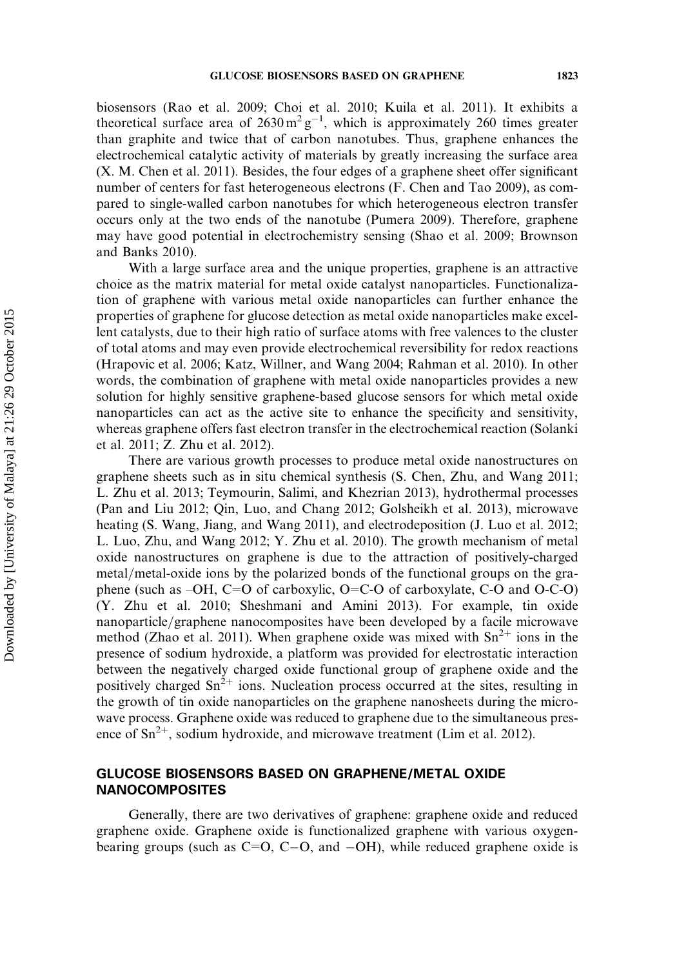biosensors (Rao et al. 2009; Choi et al. 2010; Kuila et al. 2011). It exhibits a theoretical surface area of  $2630 \text{ m}^2 \text{ g}^{-1}$ , which is approximately 260 times greater than graphite and twice that of carbon nanotubes. Thus, graphene enhances the electrochemical catalytic activity of materials by greatly increasing the surface area (X. M. Chen et al. 2011). Besides, the four edges of a graphene sheet offer significant number of centers for fast heterogeneous electrons (F. Chen and Tao 2009), as compared to single-walled carbon nanotubes for which heterogeneous electron transfer occurs only at the two ends of the nanotube (Pumera 2009). Therefore, graphene may have good potential in electrochemistry sensing (Shao et al. 2009; Brownson and Banks 2010).

With a large surface area and the unique properties, graphene is an attractive choice as the matrix material for metal oxide catalyst nanoparticles. Functionalization of graphene with various metal oxide nanoparticles can further enhance the properties of graphene for glucose detection as metal oxide nanoparticles make excellent catalysts, due to their high ratio of surface atoms with free valences to the cluster of total atoms and may even provide electrochemical reversibility for redox reactions (Hrapovic et al. 2006; Katz, Willner, and Wang 2004; Rahman et al. 2010). In other words, the combination of graphene with metal oxide nanoparticles provides a new solution for highly sensitive graphene-based glucose sensors for which metal oxide nanoparticles can act as the active site to enhance the specificity and sensitivity, whereas graphene offers fast electron transfer in the electrochemical reaction (Solanki et al. 2011; Z. Zhu et al. 2012).

There are various growth processes to produce metal oxide nanostructures on graphene sheets such as in situ chemical synthesis (S. Chen, Zhu, and Wang 2011; L. Zhu et al. 2013; Teymourin, Salimi, and Khezrian 2013), hydrothermal processes (Pan and Liu 2012; Qin, Luo, and Chang 2012; Golsheikh et al. 2013), microwave heating (S. Wang, Jiang, and Wang 2011), and electrodeposition (J. Luo et al. 2012; L. Luo, Zhu, and Wang 2012; Y. Zhu et al. 2010). The growth mechanism of metal oxide nanostructures on graphene is due to the attraction of positively-charged metal/metal-oxide ions by the polarized bonds of the functional groups on the graphene (such as –OH, C=O of carboxylic, O=C-O of carboxylate, C-O and O-C-O) (Y. Zhu et al. 2010; Sheshmani and Amini 2013). For example, tin oxide nanoparticle/graphene nanocomposites have been developed by a facile microwave method (Zhao et al. 2011). When graphene oxide was mixed with  $Sn^{2+}$  ions in the presence of sodium hydroxide, a platform was provided for electrostatic interaction between the negatively charged oxide functional group of graphene oxide and the positively charged  $\text{Sn}^{2+}$  ions. Nucleation process occurred at the sites, resulting in the growth of tin oxide nanoparticles on the graphene nanosheets during the microwave process. Graphene oxide was reduced to graphene due to the simultaneous presence of  $\text{Sn}^{2+}$ , sodium hydroxide, and microwave treatment (Lim et al. 2012).

# GLUCOSE BIOSENSORS BASED ON GRAPHENE/METAL OXIDE **NANOCOMPOSITES**

Generally, there are two derivatives of graphene: graphene oxide and reduced graphene oxide. Graphene oxide is functionalized graphene with various oxygenbearing groups (such as  $C=O$ ,  $C-O$ , and  $-OH$ ), while reduced graphene oxide is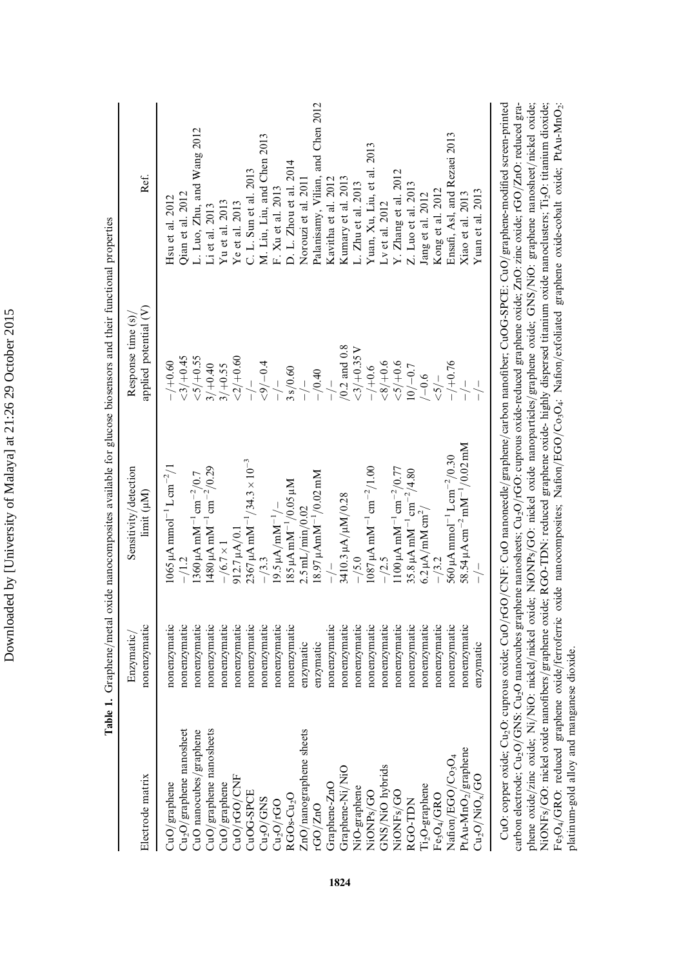| Table 1                                                                                                                                                                                                                                                                                 |                            | . Graphene/metal oxide nanocomposites available for glucose biosensors and their functional properties |                                             |                                   |
|-----------------------------------------------------------------------------------------------------------------------------------------------------------------------------------------------------------------------------------------------------------------------------------------|----------------------------|--------------------------------------------------------------------------------------------------------|---------------------------------------------|-----------------------------------|
| Electrode matrix                                                                                                                                                                                                                                                                        | nonenzymatic<br>Enzymatic/ | Sensitivity/detection<br>limit (µM)                                                                    | applied potential (V)<br>Response time (s)/ | Ref.                              |
|                                                                                                                                                                                                                                                                                         | nonenzymatic               | $1065 \mu$ A mmol <sup>-1</sup> L cm <sup>-2</sup> /1                                                  | $-/-0.60$                                   | Hsu et al. 2012                   |
|                                                                                                                                                                                                                                                                                         | nonenzymatic               |                                                                                                        | $<$ 3/ $+0.45$                              | Qian et al. 2012                  |
| CuO/graphene nanosheet<br>Cu <sub>O</sub> /graphene nanosheet<br>CuO/graphene manosheets<br>CuO/graphene manosheets<br>CuO/graphene manosheets<br>CuO/GO/CNF<br>CuOG-SPCE<br>Cu <sub>O</sub> /GNS<br>ZuO/nanographene sheets<br>AGO-ZuO<br>Graphene-Ni/NiO<br>Graphene-Ni/NiO<br>NiOVF8 | nonenzymatic               | 1360 μA mM <sup>-1</sup> cm <sup>-2</sup> /0.7                                                         | $<\frac{5}{4}$ 0.55                         | L. Luo, Zhu, and Wang 2012        |
|                                                                                                                                                                                                                                                                                         | nonenzymatic               | $1480 \,\mu\mathrm{A\,mM^{-1}\,cm^{-2}}/0.29$                                                          | $3/+0.40$                                   | Li et al. 2013                    |
|                                                                                                                                                                                                                                                                                         | nonenzymatic               | $-\frac{6.7\times1}{5.7\times1}$                                                                       | $3/ +0.55$                                  | Yu et al. $2013$                  |
|                                                                                                                                                                                                                                                                                         | nonenzymatic               | $912.7 \mu A/0.1$                                                                                      | ${<}2/+0.60$                                | Ye et al. 2013                    |
|                                                                                                                                                                                                                                                                                         | nonenzymatic               | $2367 \mu$ A mM <sup>-1</sup> /34.3 × 10 <sup>-3</sup>                                                 | $\frac{1}{1}$                               | C. L. Sun et al. 2013             |
|                                                                                                                                                                                                                                                                                         | nonenzymatic               | $-$ /3.3                                                                                               | $<\!\!\rho'\!\!\!\!/-0.4$                   | M. Liu, Liu, and Chen 2013        |
|                                                                                                                                                                                                                                                                                         | nonenzymatic               | $19.5 \mu A / mM^{-1}/$                                                                                | $\frac{1}{1}$                               | F. Xu et al. 2013                 |
|                                                                                                                                                                                                                                                                                         | nonenzymatic               | $185 \mu A$ mM <sup><math>-1</math></sup> /0.05 $\mu$ M                                                | 3 s/0.60                                    | D. L. Zhou et al. 2014            |
|                                                                                                                                                                                                                                                                                         | enzymatic                  | $2.5$ mL/min/0.02                                                                                      | $\frac{1}{1}$                               | Norouzi et al. 2011               |
|                                                                                                                                                                                                                                                                                         | enzymatic                  | $18.97 \mu$ Am $M^{-1}/0.02 \, \text{mM}$                                                              | $-/0.40$                                    | Palanisamy, Vilian, and Chen 2012 |
|                                                                                                                                                                                                                                                                                         | nonenzymatic               |                                                                                                        |                                             | Kavitha et al. 2012               |
|                                                                                                                                                                                                                                                                                         | nonenzymatic               | 3410.3 µA/µM/0.28                                                                                      | $/0.2$ and 0.8                              | Kumary et al. 2013                |
|                                                                                                                                                                                                                                                                                         | nonenzymatic               | $-/5.0$                                                                                                | $<$ 3/+0.35 V                               | L. Zhu et al. 2013                |
|                                                                                                                                                                                                                                                                                         | nonenzymatic               | $1087 \mu A \text{ m} \text{M}^{-1} \text{ cm}^{-2}/1.00$                                              | $-/-10.6$                                   | Yuan, Xu, Liu, et al. 2013        |
|                                                                                                                                                                                                                                                                                         | nonenzymatic               | $-/2.5$                                                                                                | $-8/10.6$                                   | Lv et al. $2012$                  |
|                                                                                                                                                                                                                                                                                         | nonenzymatic               | $1100 \mu A \text{ mM}^{-1} \text{ cm}^{-2} / 0.77$                                                    | 5/10.6                                      | Y. Zhang et al. 2012              |
|                                                                                                                                                                                                                                                                                         | nonenzymatic               | 35.8 $\mu$ A mM <sup>-1</sup> cm <sup>-2</sup> /4.80                                                   | $10/-0.7$                                   | Z. Luo et al. 2013                |
|                                                                                                                                                                                                                                                                                         | nonenzymatic               | $6.2 \mu\text{A}/\text{mM}\,\text{cm}^2/$                                                              | $-0.6$                                      | Jang et al. 2012                  |
|                                                                                                                                                                                                                                                                                         | nonenzymatic               | $-13.2$                                                                                                | $5/-$                                       | Kong et al. 2012                  |
|                                                                                                                                                                                                                                                                                         | nonenzymatic               | 560 µA mmol <sup>-1</sup> L cm <sup>-2</sup> /0.30                                                     | $-/-0.76$                                   | Ensafi, Asl, and Rezaei 2013      |
|                                                                                                                                                                                                                                                                                         | nonenzymatic               | 58.54 µA cm $^{-2}$ mM $^{-1}/0.02$ mM                                                                 |                                             | Xiao et al. 2013                  |
| $\mathrm{Cu_{2}O/NiO_{x}/GO}$                                                                                                                                                                                                                                                           | enzymatic                  |                                                                                                        | $\frac{1}{1}$                               | Yuan et al. 2013                  |
|                                                                                                                                                                                                                                                                                         |                            |                                                                                                        |                                             |                                   |

phene oxide/zinc oxide; Ni/NiO: nickel/nickel oxide; NiONPs/GO: nickel oxide nanoparticles/graphene oxide; GNS/NiO: graphene nanosheet/nickel oxide;<br>NiONFs/GO: nickel oxide nanofibers/graphene oxide; RGO-TDN: reduced graph CuO: copper oxide; Cu<sub>2</sub>O: cuprous oxide; CuO/rGO/CNF: CuO nanoneedle/graphene/carbon nanofiber; CuOG-SPCE: CuO/graphene-modified screen-printed carbon electrode; Cu<sub>2</sub>O/GNS: Cu<sub>2</sub>O nanocubes graphene nanosheets; Cu<sub>2</sub>O/rGO: cuprous oxide-reduced graphene oxide; ZnO: zinc oxide; rGO/ZnO: reduced gra-CuO: copper oxide; Cu<sub>2</sub>O: cuprous oxide; CuO//GO/CNF: CuO nanoneedle/graphene/carbon nanofiber; CuOG-SPCE: CuO/graphene-modified screen-printed carbon electrode; Cu<sub>2</sub>O/GNS: Cu<sub>2</sub>O nanocubes graphene nanosheets; Cu<sub>2</sub>O/rGO: cuprous oxide-reduced graphene oxide; ZnO: zinc oxide; rGO/ZnO: reduced graphene oxide/zinc oxide; Ni/NiO: nickel/nickel oxide; NiONPs/GO: nickel oxide nanoparticles/graphene oxide; GNS/NiO: graphene nanosheet/nickel oxide; NiONFs/GO: nickel oxide nanofibers/graphene oxide; RGO-TDN: reduced graphene oxide- highly dispersed titanium oxide nanoclusters; Ti-O: titanium dioxide; Fe3O4/GRO: reduced graphene oxide/ferroferric oxide nanocomposites; Nafion/EGO/Co3O4: Nafion/exfoliated graphene oxide-cobalt oxide; PtAu-MnO2 platinum-gold alloy and manganese dioxide. platinum-gold alloy and manganese dioxide.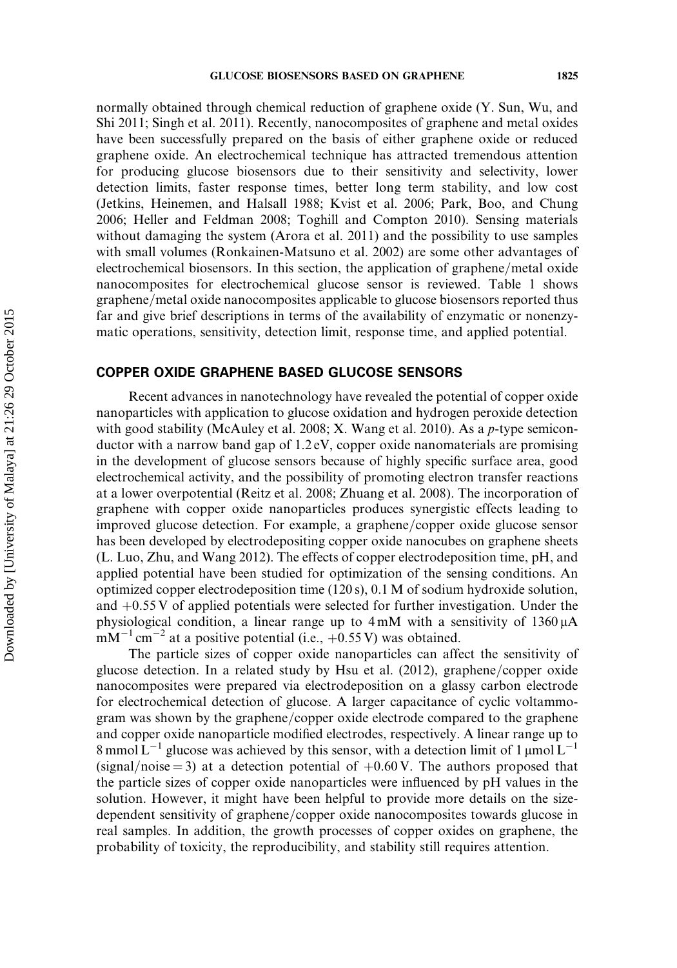normally obtained through chemical reduction of graphene oxide (Y. Sun, Wu, and Shi 2011; Singh et al. 2011). Recently, nanocomposites of graphene and metal oxides have been successfully prepared on the basis of either graphene oxide or reduced graphene oxide. An electrochemical technique has attracted tremendous attention for producing glucose biosensors due to their sensitivity and selectivity, lower detection limits, faster response times, better long term stability, and low cost (Jetkins, Heinemen, and Halsall 1988; Kvist et al. 2006; Park, Boo, and Chung 2006; Heller and Feldman 2008; Toghill and Compton 2010). Sensing materials without damaging the system (Arora et al. 2011) and the possibility to use samples with small volumes (Ronkainen-Matsuno et al. 2002) are some other advantages of electrochemical biosensors. In this section, the application of graphene/metal oxide nanocomposites for electrochemical glucose sensor is reviewed. Table 1 shows graphene/metal oxide nanocomposites applicable to glucose biosensors reported thus far and give brief descriptions in terms of the availability of enzymatic or nonenzymatic operations, sensitivity, detection limit, response time, and applied potential.

# COPPER OXIDE GRAPHENE BASED GLUCOSE SENSORS

Recent advances in nanotechnology have revealed the potential of copper oxide nanoparticles with application to glucose oxidation and hydrogen peroxide detection with good stability (McAuley et al. 2008; X. Wang et al. 2010). As a p-type semiconductor with a narrow band gap of 1.2 eV, copper oxide nanomaterials are promising in the development of glucose sensors because of highly specific surface area, good electrochemical activity, and the possibility of promoting electron transfer reactions at a lower overpotential (Reitz et al. 2008; Zhuang et al. 2008). The incorporation of graphene with copper oxide nanoparticles produces synergistic effects leading to improved glucose detection. For example, a graphene/copper oxide glucose sensor has been developed by electrodepositing copper oxide nanocubes on graphene sheets (L. Luo, Zhu, and Wang 2012). The effects of copper electrodeposition time, pH, and applied potential have been studied for optimization of the sensing conditions. An optimized copper electrodeposition time (120 s), 0.1 M of sodium hydroxide solution, and  $+0.55$  V of applied potentials were selected for further investigation. Under the physiological condition, a linear range up to  $4 \text{ mM}$  with a sensitivity of  $1360 \mu\text{A}$  $mM^{-1}$  cm<sup>-2</sup> at a positive potential (i.e., +0.55 V) was obtained.

The particle sizes of copper oxide nanoparticles can affect the sensitivity of glucose detection. In a related study by Hsu et al.  $(2012)$ , graphene/copper oxide nanocomposites were prepared via electrodeposition on a glassy carbon electrode for electrochemical detection of glucose. A larger capacitance of cyclic voltammogram was shown by the graphene/copper oxide electrode compared to the graphene and copper oxide nanoparticle modified electrodes, respectively. A linear range up to 8 mmol  $L^{-1}$  glucose was achieved by this sensor, with a detection limit of 1 µmol  $L^{-1}$  $(\text{signal}/\text{noise} = 3)$  at a detection potential of  $+0.60 \text{ V}$ . The authors proposed that the particle sizes of copper oxide nanoparticles were influenced by pH values in the solution. However, it might have been helpful to provide more details on the sizedependent sensitivity of graphene/copper oxide nanocomposites towards glucose in real samples. In addition, the growth processes of copper oxides on graphene, the probability of toxicity, the reproducibility, and stability still requires attention.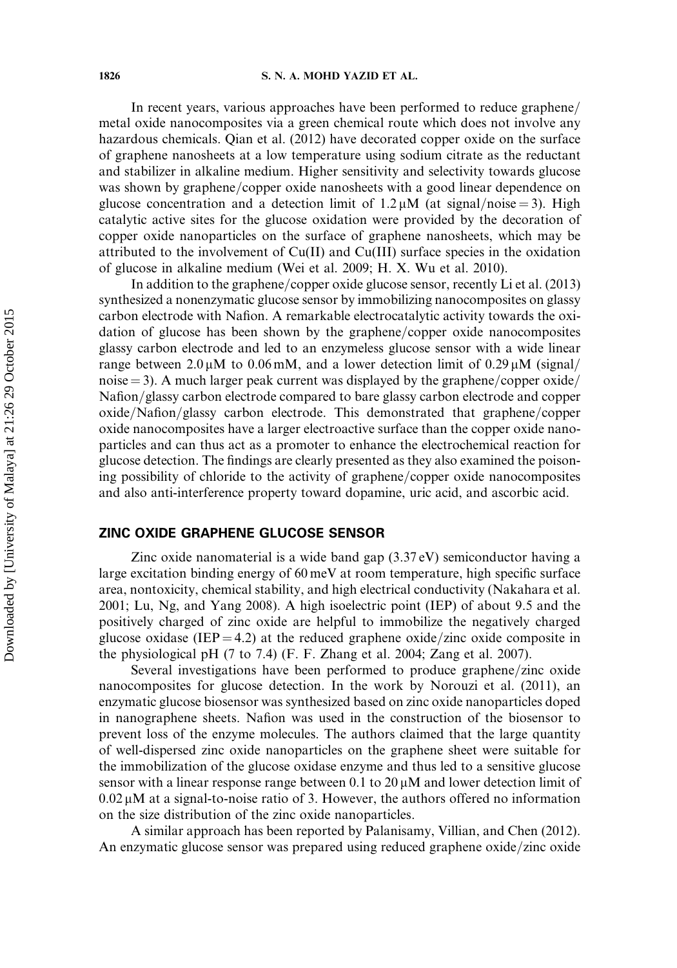#### 1826 S. N. A. MOHD YAZID ET AL.

In recent years, various approaches have been performed to reduce graphene/ metal oxide nanocomposites via a green chemical route which does not involve any hazardous chemicals. Qian et al. (2012) have decorated copper oxide on the surface of graphene nanosheets at a low temperature using sodium citrate as the reductant and stabilizer in alkaline medium. Higher sensitivity and selectivity towards glucose was shown by graphene/copper oxide nanosheets with a good linear dependence on glucose concentration and a detection limit of  $1.2 \mu M$  (at signal/noise = 3). High catalytic active sites for the glucose oxidation were provided by the decoration of copper oxide nanoparticles on the surface of graphene nanosheets, which may be attributed to the involvement of Cu(II) and Cu(III) surface species in the oxidation of glucose in alkaline medium (Wei et al. 2009; H. X. Wu et al. 2010).

In addition to the graphene/copper oxide glucose sensor, recently Li et al.  $(2013)$ synthesized a nonenzymatic glucose sensor by immobilizing nanocomposites on glassy carbon electrode with Nafion. A remarkable electrocatalytic activity towards the oxidation of glucose has been shown by the graphene/copper oxide nanocomposites glassy carbon electrode and led to an enzymeless glucose sensor with a wide linear range between  $2.0 \mu M$  to  $0.06 \text{ mM}$ , and a lower detection limit of  $0.29 \mu M$  (signal) noise  $=$  3). A much larger peak current was displayed by the graphene/copper oxide/ Nafion/glassy carbon electrode compared to bare glassy carbon electrode and copper oxide/Nafion/glassy carbon electrode. This demonstrated that graphene/copper oxide nanocomposites have a larger electroactive surface than the copper oxide nanoparticles and can thus act as a promoter to enhance the electrochemical reaction for glucose detection. The findings are clearly presented as they also examined the poisoning possibility of chloride to the activity of graphene/copper oxide nanocomposites and also anti-interference property toward dopamine, uric acid, and ascorbic acid.

# ZINC OXIDE GRAPHENE GLUCOSE SENSOR

Zinc oxide nanomaterial is a wide band gap (3.37 eV) semiconductor having a large excitation binding energy of 60 meV at room temperature, high specific surface area, nontoxicity, chemical stability, and high electrical conductivity (Nakahara et al. 2001; Lu, Ng, and Yang 2008). A high isoelectric point (IEP) of about 9.5 and the positively charged of zinc oxide are helpful to immobilize the negatively charged glucose oxidase (IEP = 4.2) at the reduced graphene oxide/zinc oxide composite in the physiological pH (7 to 7.4) (F. F. Zhang et al. 2004; Zang et al. 2007).

Several investigations have been performed to produce graphene/zinc oxide nanocomposites for glucose detection. In the work by Norouzi et al. (2011), an enzymatic glucose biosensor was synthesized based on zinc oxide nanoparticles doped in nanographene sheets. Nafion was used in the construction of the biosensor to prevent loss of the enzyme molecules. The authors claimed that the large quantity of well-dispersed zinc oxide nanoparticles on the graphene sheet were suitable for the immobilization of the glucose oxidase enzyme and thus led to a sensitive glucose sensor with a linear response range between 0.1 to  $20 \mu M$  and lower detection limit of  $0.02 \mu$ M at a signal-to-noise ratio of 3. However, the authors offered no information on the size distribution of the zinc oxide nanoparticles.

A similar approach has been reported by Palanisamy, Villian, and Chen (2012). An enzymatic glucose sensor was prepared using reduced graphene oxide/zinc oxide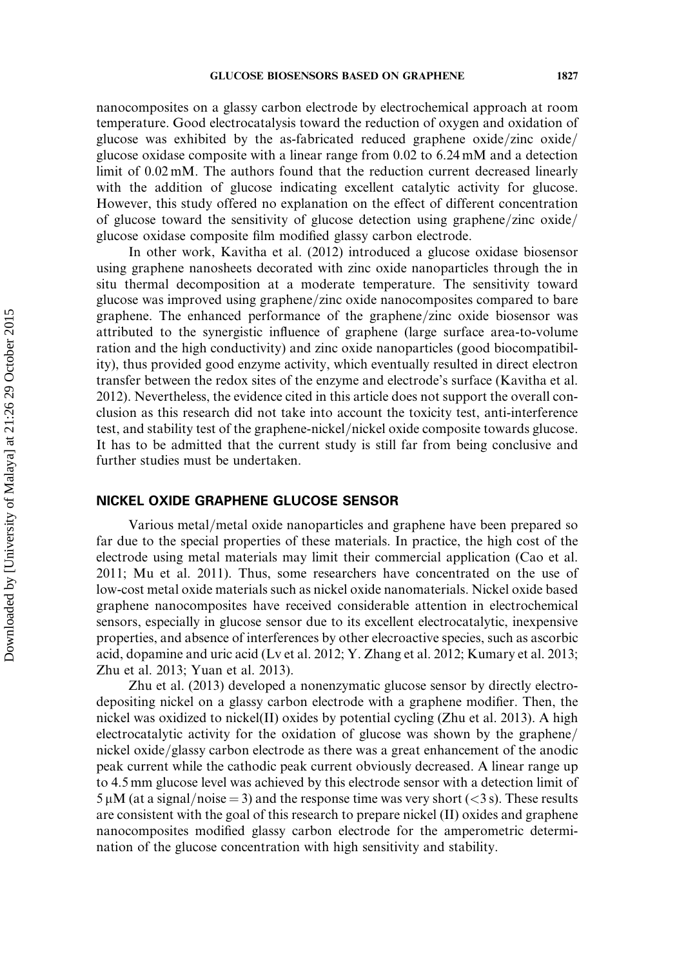nanocomposites on a glassy carbon electrode by electrochemical approach at room temperature. Good electrocatalysis toward the reduction of oxygen and oxidation of glucose was exhibited by the as-fabricated reduced graphene oxide/zinc oxide/ glucose oxidase composite with a linear range from 0.02 to 6.24 mM and a detection limit of 0.02 mM. The authors found that the reduction current decreased linearly with the addition of glucose indicating excellent catalytic activity for glucose. However, this study offered no explanation on the effect of different concentration of glucose toward the sensitivity of glucose detection using graphene/zinc oxide/ glucose oxidase composite film modified glassy carbon electrode.

In other work, Kavitha et al. (2012) introduced a glucose oxidase biosensor using graphene nanosheets decorated with zinc oxide nanoparticles through the in situ thermal decomposition at a moderate temperature. The sensitivity toward glucose was improved using graphene/zinc oxide nanocomposites compared to bare graphene. The enhanced performance of the graphene/zinc oxide biosensor was attributed to the synergistic influence of graphene (large surface area-to-volume ration and the high conductivity) and zinc oxide nanoparticles (good biocompatibility), thus provided good enzyme activity, which eventually resulted in direct electron transfer between the redox sites of the enzyme and electrode's surface (Kavitha et al. 2012). Nevertheless, the evidence cited in this article does not support the overall conclusion as this research did not take into account the toxicity test, anti-interference test, and stability test of the graphene-nickel/nickel oxide composite towards glucose. It has to be admitted that the current study is still far from being conclusive and further studies must be undertaken.

## NICKEL OXIDE GRAPHENE GLUCOSE SENSOR

Various metal/metal oxide nanoparticles and graphene have been prepared so far due to the special properties of these materials. In practice, the high cost of the electrode using metal materials may limit their commercial application (Cao et al. 2011; Mu et al. 2011). Thus, some researchers have concentrated on the use of low-cost metal oxide materials such as nickel oxide nanomaterials. Nickel oxide based graphene nanocomposites have received considerable attention in electrochemical sensors, especially in glucose sensor due to its excellent electrocatalytic, inexpensive properties, and absence of interferences by other elecroactive species, such as ascorbic acid, dopamine and uric acid (Lv et al. 2012; Y. Zhang et al. 2012; Kumary et al. 2013; Zhu et al. 2013; Yuan et al. 2013).

Zhu et al. (2013) developed a nonenzymatic glucose sensor by directly electrodepositing nickel on a glassy carbon electrode with a graphene modifier. Then, the nickel was oxidized to nickel(II) oxides by potential cycling (Zhu et al. 2013). A high electrocatalytic activity for the oxidation of glucose was shown by the graphene $/$ nickel oxide/glassy carbon electrode as there was a great enhancement of the anodic peak current while the cathodic peak current obviously decreased. A linear range up to 4.5 mm glucose level was achieved by this electrode sensor with a detection limit of  $5 \mu$ M (at a signal/noise = 3) and the response time was very short (<3 s). These results are consistent with the goal of this research to prepare nickel (II) oxides and graphene nanocomposites modified glassy carbon electrode for the amperometric determination of the glucose concentration with high sensitivity and stability.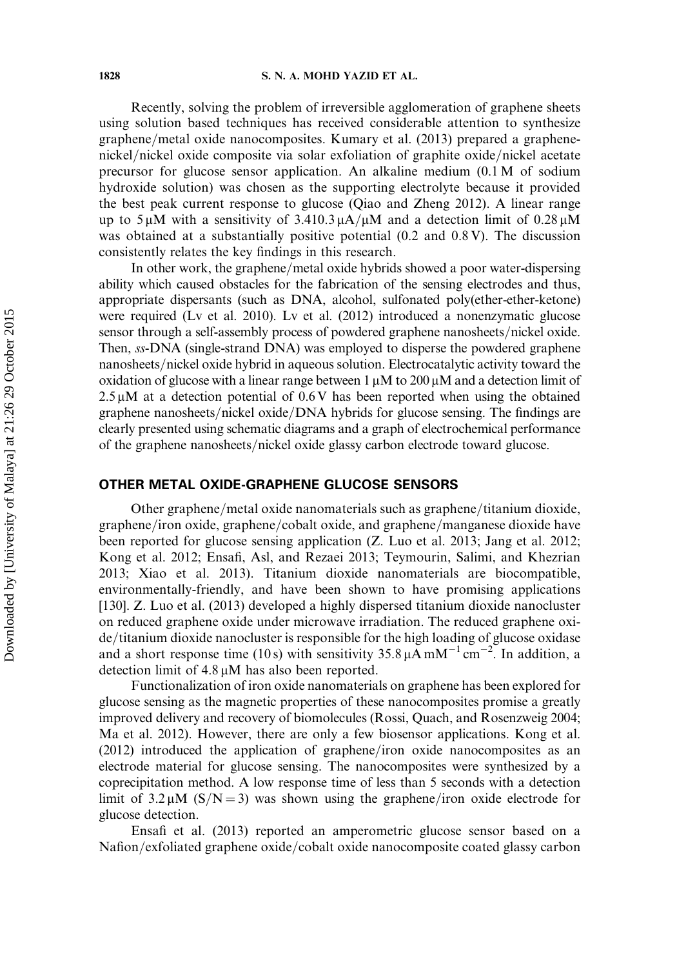Recently, solving the problem of irreversible agglomeration of graphene sheets using solution based techniques has received considerable attention to synthesize graphene/metal oxide nanocomposites. Kumary et al. (2013) prepared a graphenenickel/nickel oxide composite via solar exfoliation of graphite oxide/nickel acetate precursor for glucose sensor application. An alkaline medium (0.1 M of sodium hydroxide solution) was chosen as the supporting electrolyte because it provided the best peak current response to glucose (Qiao and Zheng 2012). A linear range up to 5  $\mu$ M with a sensitivity of 3.410.3  $\mu$ A/ $\mu$ M and a detection limit of 0.28  $\mu$ M was obtained at a substantially positive potential (0.2 and 0.8 V). The discussion consistently relates the key findings in this research.

In other work, the graphene/metal oxide hybrids showed a poor water-dispersing ability which caused obstacles for the fabrication of the sensing electrodes and thus, appropriate dispersants (such as DNA, alcohol, sulfonated poly(ether-ether-ketone) were required (Lv et al. 2010). Lv et al. (2012) introduced a nonenzymatic glucose sensor through a self-assembly process of powdered graphene nanosheets/nickel oxide. Then, ss-DNA (single-strand DNA) was employed to disperse the powdered graphene nanosheets/nickel oxide hybrid in aqueous solution. Electrocatalytic activity toward the oxidation of glucose with a linear range between  $1 \mu M$  to  $200 \mu M$  and a detection limit of  $2.5 \mu$ M at a detection potential of 0.6 V has been reported when using the obtained graphene nanosheets/nickel oxide/DNA hybrids for glucose sensing. The findings are clearly presented using schematic diagrams and a graph of electrochemical performance of the graphene nanosheets/nickel oxide glassy carbon electrode toward glucose.

#### OTHER METAL OXIDE-GRAPHENE GLUCOSE SENSORS

Other graphene/metal oxide nanomaterials such as graphene/titanium dioxide, graphene/iron oxide, graphene/cobalt oxide, and graphene/manganese dioxide have been reported for glucose sensing application (Z. Luo et al. 2013; Jang et al. 2012; Kong et al. 2012; Ensafi, Asl, and Rezaei 2013; Teymourin, Salimi, and Khezrian 2013; Xiao et al. 2013). Titanium dioxide nanomaterials are biocompatible, environmentally-friendly, and have been shown to have promising applications [130]. Z. Luo et al. (2013) developed a highly dispersed titanium dioxide nanocluster on reduced graphene oxide under microwave irradiation. The reduced graphene oxide/titanium dioxide nanocluster is responsible for the high loading of glucose oxidase and a short response time (10s) with sensitivity  $35.8 \mu\text{A} \text{m} \text{M}^{-1} \text{cm}^{-2}$ . In addition, a detection limit of  $4.8 \mu M$  has also been reported.

Functionalization of iron oxide nanomaterials on graphene has been explored for glucose sensing as the magnetic properties of these nanocomposites promise a greatly improved delivery and recovery of biomolecules (Rossi, Quach, and Rosenzweig 2004; Ma et al. 2012). However, there are only a few biosensor applications. Kong et al.  $(2012)$  introduced the application of graphene/iron oxide nanocomposites as an electrode material for glucose sensing. The nanocomposites were synthesized by a coprecipitation method. A low response time of less than 5 seconds with a detection limit of  $3.2 \mu M$  (S/N = 3) was shown using the graphene/iron oxide electrode for glucose detection.

Ensafi et al. (2013) reported an amperometric glucose sensor based on a Nafion/exfoliated graphene oxide/cobalt oxide nanocomposite coated glassy carbon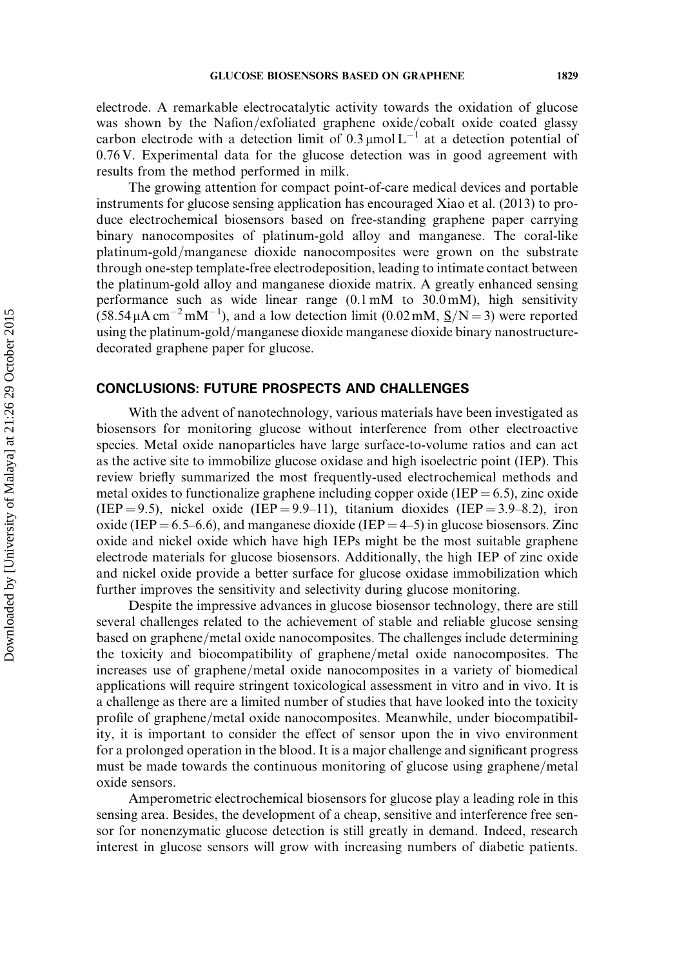electrode. A remarkable electrocatalytic activity towards the oxidation of glucose was shown by the Nafion/exfoliated graphene oxide/cobalt oxide coated glassy carbon electrode with a detection limit of  $0.3 \mu$ mol L<sup>-1</sup> at a detection potential of 0.76 V. Experimental data for the glucose detection was in good agreement with results from the method performed in milk.

The growing attention for compact point-of-care medical devices and portable instruments for glucose sensing application has encouraged Xiao et al. (2013) to produce electrochemical biosensors based on free-standing graphene paper carrying binary nanocomposites of platinum-gold alloy and manganese. The coral-like platinum-gold/manganese dioxide nanocomposites were grown on the substrate through one-step template-free electrodeposition, leading to intimate contact between the platinum-gold alloy and manganese dioxide matrix. A greatly enhanced sensing performance such as wide linear range  $(0.1 \text{ mM})$  to  $30.0 \text{ mM}$ ), high sensitivity  $(58.54 \mu A \text{ cm}^{-2} \text{mM}^{-1})$ , and a low detection limit (0.02 mM,  $S/N = 3$ ) were reported using the platinum-gold/manganese dioxide manganese dioxide binary nanostructuredecorated graphene paper for glucose.

## CONCLUSIONS: FUTURE PROSPECTS AND CHALLENGES

With the advent of nanotechnology, various materials have been investigated as biosensors for monitoring glucose without interference from other electroactive species. Metal oxide nanoparticles have large surface-to-volume ratios and can act as the active site to immobilize glucose oxidase and high isoelectric point (IEP). This review briefly summarized the most frequently-used electrochemical methods and metal oxides to functionalize graphene including copper oxide (IEP  $= 6.5$ ), zinc oxide (IEP = 9.5), nickel oxide (IEP = 9.9–11), titanium dioxides (IEP = 3.9–8.2), iron oxide (IEP = 6.5–6.6), and manganese dioxide (IEP = 4–5) in glucose biosensors. Zinc oxide and nickel oxide which have high IEPs might be the most suitable graphene electrode materials for glucose biosensors. Additionally, the high IEP of zinc oxide and nickel oxide provide a better surface for glucose oxidase immobilization which further improves the sensitivity and selectivity during glucose monitoring.

Despite the impressive advances in glucose biosensor technology, there are still several challenges related to the achievement of stable and reliable glucose sensing based on graphene/metal oxide nanocomposites. The challenges include determining the toxicity and biocompatibility of graphene/metal oxide nanocomposites. The increases use of graphene/metal oxide nanocomposites in a variety of biomedical applications will require stringent toxicological assessment in vitro and in vivo. It is a challenge as there are a limited number of studies that have looked into the toxicity profile of graphene/metal oxide nanocomposites. Meanwhile, under biocompatibility, it is important to consider the effect of sensor upon the in vivo environment for a prolonged operation in the blood. It is a major challenge and significant progress must be made towards the continuous monitoring of glucose using graphene/metal oxide sensors.

Amperometric electrochemical biosensors for glucose play a leading role in this sensing area. Besides, the development of a cheap, sensitive and interference free sensor for nonenzymatic glucose detection is still greatly in demand. Indeed, research interest in glucose sensors will grow with increasing numbers of diabetic patients.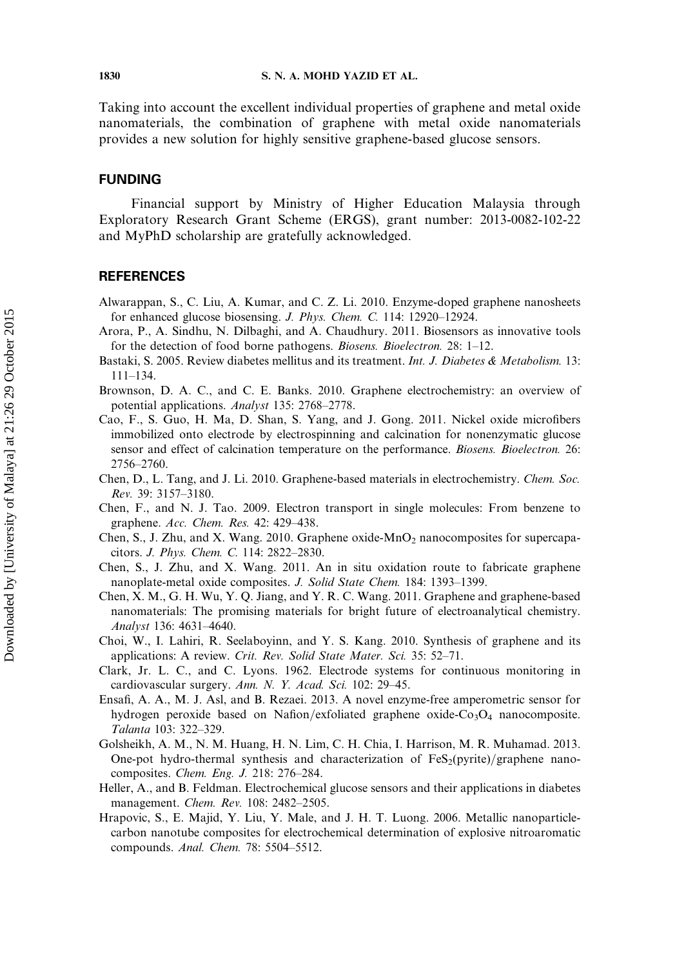Taking into account the excellent individual properties of graphene and metal oxide nanomaterials, the combination of graphene with metal oxide nanomaterials provides a new solution for highly sensitive graphene-based glucose sensors.

# FUNDING

Financial support by Ministry of Higher Education Malaysia through Exploratory Research Grant Scheme (ERGS), grant number: 2013-0082-102-22 and MyPhD scholarship are gratefully acknowledged.

# **REFERENCES**

- Alwarappan, S., C. Liu, A. Kumar, and C. Z. Li. 2010. Enzyme-doped graphene nanosheets for enhanced glucose biosensing. J. Phys. Chem. C. 114: 12920–12924.
- Arora, P., A. Sindhu, N. Dilbaghi, and A. Chaudhury. 2011. Biosensors as innovative tools for the detection of food borne pathogens. *Biosens. Bioelectron.* 28: 1–12.
- Bastaki, S. 2005. Review diabetes mellitus and its treatment. Int. J. Diabetes & Metabolism. 13: 111–134.
- Brownson, D. A. C., and C. E. Banks. 2010. Graphene electrochemistry: an overview of potential applications. Analyst 135: 2768–2778.
- Cao, F., S. Guo, H. Ma, D. Shan, S. Yang, and J. Gong. 2011. Nickel oxide microfibers immobilized onto electrode by electrospinning and calcination for nonenzymatic glucose sensor and effect of calcination temperature on the performance. *Biosens. Bioelectron.* 26: 2756–2760.
- Chen, D., L. Tang, and J. Li. 2010. Graphene-based materials in electrochemistry. Chem. Soc. Rev. 39: 3157–3180.
- Chen, F., and N. J. Tao. 2009. Electron transport in single molecules: From benzene to graphene. Acc. Chem. Res. 42: 429–438.
- Chen, S., J. Zhu, and X. Wang. 2010. Graphene oxide- $MnO<sub>2</sub>$  nanocomposites for supercapacitors. J. Phys. Chem. C. 114: 2822–2830.
- Chen, S., J. Zhu, and X. Wang. 2011. An in situ oxidation route to fabricate graphene nanoplate-metal oxide composites. J. Solid State Chem. 184: 1393–1399.
- Chen, X. M., G. H. Wu, Y. Q. Jiang, and Y. R. C. Wang. 2011. Graphene and graphene-based nanomaterials: The promising materials for bright future of electroanalytical chemistry. Analyst 136: 4631–4640.
- Choi, W., I. Lahiri, R. Seelaboyinn, and Y. S. Kang. 2010. Synthesis of graphene and its applications: A review. Crit. Rev. Solid State Mater. Sci. 35: 52–71.
- Clark, Jr. L. C., and C. Lyons. 1962. Electrode systems for continuous monitoring in cardiovascular surgery. Ann. N. Y. Acad. Sci. 102: 29–45.
- Ensafi, A. A., M. J. Asl, and B. Rezaei. 2013. A novel enzyme-free amperometric sensor for hydrogen peroxide based on Nafion/exfoliated graphene oxide- $Co<sub>3</sub>O<sub>4</sub>$  nanocomposite. Talanta 103: 322–329.
- Golsheikh, A. M., N. M. Huang, H. N. Lim, C. H. Chia, I. Harrison, M. R. Muhamad. 2013. One-pot hydro-thermal synthesis and characterization of  $FeS<sub>2</sub>(pyrite)/graphene$  nanocomposites. Chem. Eng. J. 218: 276–284.
- Heller, A., and B. Feldman. Electrochemical glucose sensors and their applications in diabetes management. Chem. Rev. 108: 2482–2505.
- Hrapovic, S., E. Majid, Y. Liu, Y. Male, and J. H. T. Luong. 2006. Metallic nanoparticlecarbon nanotube composites for electrochemical determination of explosive nitroaromatic compounds. Anal. Chem. 78: 5504–5512.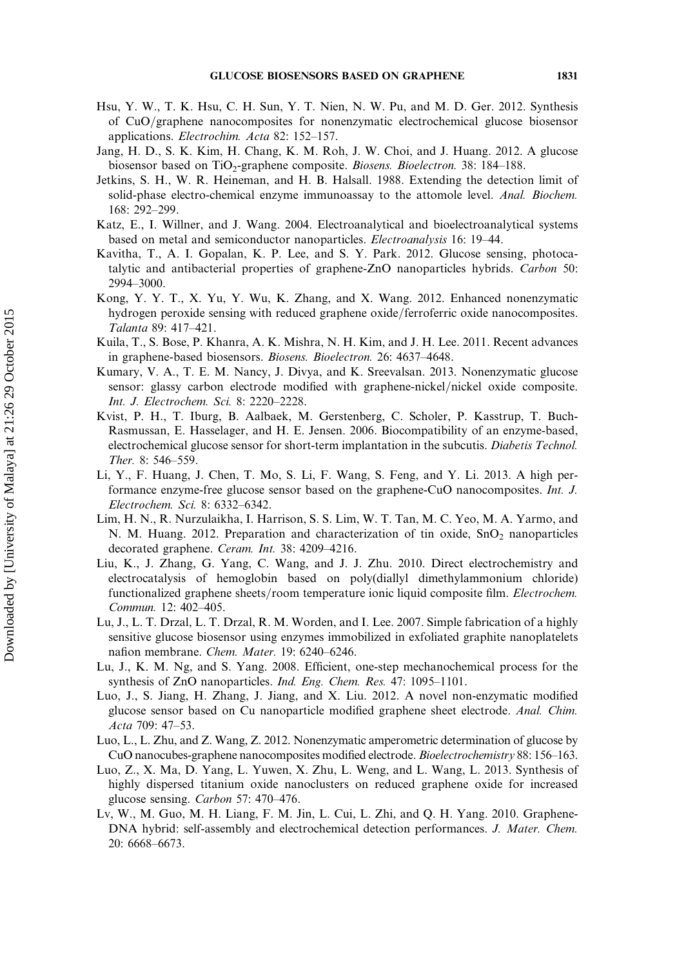- Hsu, Y. W., T. K. Hsu, C. H. Sun, Y. T. Nien, N. W. Pu, and M. D. Ger. 2012. Synthesis of CuO/graphene nanocomposites for nonenzymatic electrochemical glucose biosensor applications. Electrochim. Acta 82: 152–157.
- Jang, H. D., S. K. Kim, H. Chang, K. M. Roh, J. W. Choi, and J. Huang. 2012. A glucose biosensor based on TiO<sub>2</sub>-graphene composite. Biosens. Bioelectron. 38: 184–188.
- Jetkins, S. H., W. R. Heineman, and H. B. Halsall. 1988. Extending the detection limit of solid-phase electro-chemical enzyme immunoassay to the attomole level. Anal. Biochem. 168: 292–299.
- Katz, E., I. Willner, and J. Wang. 2004. Electroanalytical and bioelectroanalytical systems based on metal and semiconductor nanoparticles. Electroanalysis 16: 19–44.
- Kavitha, T., A. I. Gopalan, K. P. Lee, and S. Y. Park. 2012. Glucose sensing, photocatalytic and antibacterial properties of graphene-ZnO nanoparticles hybrids. Carbon 50: 2994–3000.
- Kong, Y. Y. T., X. Yu, Y. Wu, K. Zhang, and X. Wang. 2012. Enhanced nonenzymatic hydrogen peroxide sensing with reduced graphene oxide/ferroferric oxide nanocomposites. Talanta 89: 417–421.
- Kuila, T., S. Bose, P. Khanra, A. K. Mishra, N. H. Kim, and J. H. Lee. 2011. Recent advances in graphene-based biosensors. Biosens. Bioelectron. 26: 4637–4648.
- Kumary, V. A., T. E. M. Nancy, J. Divya, and K. Sreevalsan. 2013. Nonenzymatic glucose sensor: glassy carbon electrode modified with graphene-nickel/nickel oxide composite. Int. J. Electrochem. Sci. 8: 2220–2228.
- Kvist, P. H., T. Iburg, B. Aalbaek, M. Gerstenberg, C. Scholer, P. Kasstrup, T. Buch-Rasmussan, E. Hasselager, and H. E. Jensen. 2006. Biocompatibility of an enzyme-based, electrochemical glucose sensor for short-term implantation in the subcutis. Diabetis Technol. Ther. 8: 546–559.
- Li, Y., F. Huang, J. Chen, T. Mo, S. Li, F. Wang, S. Feng, and Y. Li. 2013. A high performance enzyme-free glucose sensor based on the graphene-CuO nanocomposites. Int. J. Electrochem. Sci. 8: 6332–6342.
- Lim, H. N., R. Nurzulaikha, I. Harrison, S. S. Lim, W. T. Tan, M. C. Yeo, M. A. Yarmo, and N. M. Huang. 2012. Preparation and characterization of tin oxide, SnO<sub>2</sub> nanoparticles decorated graphene. Ceram. Int. 38: 4209–4216.
- Liu, K., J. Zhang, G. Yang, C. Wang, and J. J. Zhu. 2010. Direct electrochemistry and electrocatalysis of hemoglobin based on poly(diallyl dimethylammonium chloride) functionalized graphene sheets/room temperature ionic liquid composite film. *Electrochem.* Commun. 12: 402–405.
- Lu, J., L. T. Drzal, L. T. Drzal, R. M. Worden, and I. Lee. 2007. Simple fabrication of a highly sensitive glucose biosensor using enzymes immobilized in exfoliated graphite nanoplatelets nafion membrane. Chem. Mater. 19: 6240–6246.
- Lu, J., K. M. Ng, and S. Yang. 2008. Efficient, one-step mechanochemical process for the synthesis of ZnO nanoparticles. Ind. Eng. Chem. Res. 47: 1095–1101.
- Luo, J., S. Jiang, H. Zhang, J. Jiang, and X. Liu. 2012. A novel non-enzymatic modified glucose sensor based on Cu nanoparticle modified graphene sheet electrode. Anal. Chim. Acta 709: 47–53.
- Luo, L., L. Zhu, and Z. Wang, Z. 2012. Nonenzymatic amperometric determination of glucose by CuO nanocubes-graphene nanocomposites modified electrode. Bioelectrochemistry 88: 156–163.
- Luo, Z., X. Ma, D. Yang, L. Yuwen, X. Zhu, L. Weng, and L. Wang, L. 2013. Synthesis of highly dispersed titanium oxide nanoclusters on reduced graphene oxide for increased glucose sensing. Carbon 57: 470–476.
- Lv, W., M. Guo, M. H. Liang, F. M. Jin, L. Cui, L. Zhi, and Q. H. Yang. 2010. Graphene-DNA hybrid: self-assembly and electrochemical detection performances. J. Mater. Chem. 20: 6668–6673.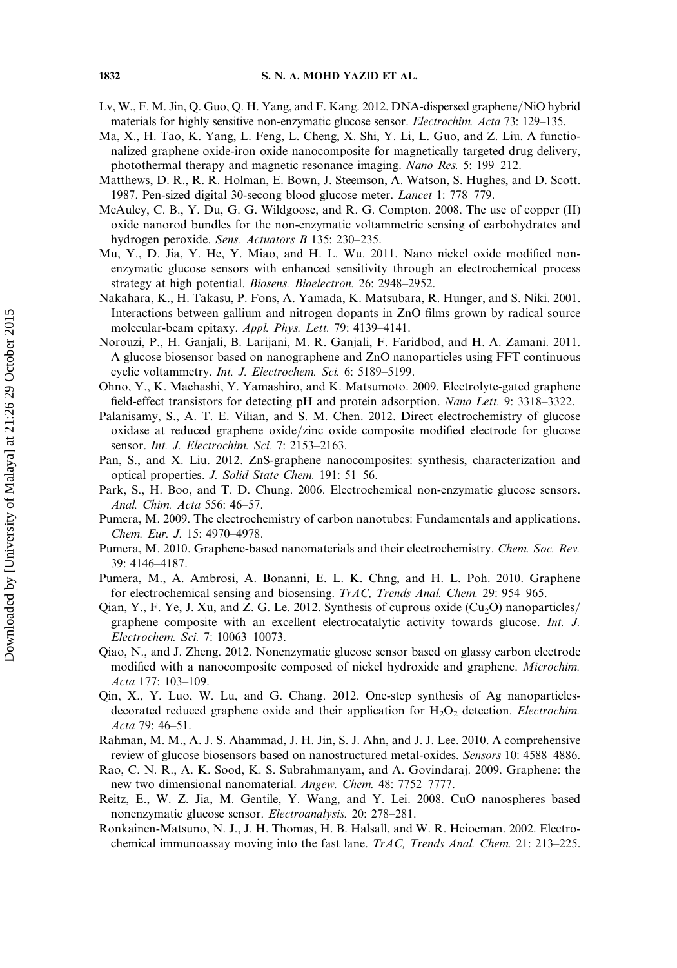- Lv, W., F. M. Jin, Q. Guo, Q. H. Yang, and F. Kang. 2012. DNA-dispersed graphene/NiO hybrid materials for highly sensitive non-enzymatic glucose sensor. Electrochim. Acta 73: 129–135.
- Ma, X., H. Tao, K. Yang, L. Feng, L. Cheng, X. Shi, Y. Li, L. Guo, and Z. Liu. A functionalized graphene oxide-iron oxide nanocomposite for magnetically targeted drug delivery, photothermal therapy and magnetic resonance imaging. Nano Res. 5: 199–212.
- Matthews, D. R., R. R. Holman, E. Bown, J. Steemson, A. Watson, S. Hughes, and D. Scott. 1987. Pen-sized digital 30-secong blood glucose meter. Lancet 1: 778–779.
- McAuley, C. B., Y. Du, G. G. Wildgoose, and R. G. Compton. 2008. The use of copper (II) oxide nanorod bundles for the non-enzymatic voltammetric sensing of carbohydrates and hydrogen peroxide. Sens. Actuators B 135: 230–235.
- Mu, Y., D. Jia, Y. He, Y. Miao, and H. L. Wu. 2011. Nano nickel oxide modified nonenzymatic glucose sensors with enhanced sensitivity through an electrochemical process strategy at high potential. Biosens. Bioelectron. 26: 2948–2952.
- Nakahara, K., H. Takasu, P. Fons, A. Yamada, K. Matsubara, R. Hunger, and S. Niki. 2001. Interactions between gallium and nitrogen dopants in ZnO films grown by radical source molecular-beam epitaxy. Appl. Phys. Lett. 79: 4139–4141.
- Norouzi, P., H. Ganjali, B. Larijani, M. R. Ganjali, F. Faridbod, and H. A. Zamani. 2011. A glucose biosensor based on nanographene and ZnO nanoparticles using FFT continuous cyclic voltammetry. Int. J. Electrochem. Sci. 6: 5189-5199.
- Ohno, Y., K. Maehashi, Y. Yamashiro, and K. Matsumoto. 2009. Electrolyte-gated graphene field-effect transistors for detecting pH and protein adsorption. Nano Lett. 9: 3318–3322.
- Palanisamy, S., A. T. E. Vilian, and S. M. Chen. 2012. Direct electrochemistry of glucose oxidase at reduced graphene oxide/zinc oxide composite modified electrode for glucose sensor. Int. J. Electrochim. Sci. 7: 2153–2163.
- Pan, S., and X. Liu. 2012. ZnS-graphene nanocomposites: synthesis, characterization and optical properties. J. Solid State Chem. 191: 51–56.
- Park, S., H. Boo, and T. D. Chung. 2006. Electrochemical non-enzymatic glucose sensors. Anal. Chim. Acta 556: 46–57.
- Pumera, M. 2009. The electrochemistry of carbon nanotubes: Fundamentals and applications. Chem. Eur. J. 15: 4970–4978.
- Pumera, M. 2010. Graphene-based nanomaterials and their electrochemistry. Chem. Soc. Rev. 39: 4146–4187.
- Pumera, M., A. Ambrosi, A. Bonanni, E. L. K. Chng, and H. L. Poh. 2010. Graphene for electrochemical sensing and biosensing. TrAC, Trends Anal. Chem. 29: 954–965.
- Qian, Y., F. Ye, J. Xu, and Z. G. Le. 2012. Synthesis of cuprous oxide  $(Cu_2O)$  nanoparticles/ graphene composite with an excellent electrocatalytic activity towards glucose. Int. J. Electrochem. Sci. 7: 10063–10073.
- Qiao, N., and J. Zheng. 2012. Nonenzymatic glucose sensor based on glassy carbon electrode modified with a nanocomposite composed of nickel hydroxide and graphene. Microchim. Acta 177: 103–109.
- Qin, X., Y. Luo, W. Lu, and G. Chang. 2012. One-step synthesis of Ag nanoparticlesdecorated reduced graphene oxide and their application for  $H_2O_2$  detection. *Electrochim*. Acta 79: 46–51.
- Rahman, M. M., A. J. S. Ahammad, J. H. Jin, S. J. Ahn, and J. J. Lee. 2010. A comprehensive review of glucose biosensors based on nanostructured metal-oxides. Sensors 10: 4588–4886.
- Rao, C. N. R., A. K. Sood, K. S. Subrahmanyam, and A. Govindaraj. 2009. Graphene: the new two dimensional nanomaterial. Angew. Chem. 48: 7752–7777.
- Reitz, E., W. Z. Jia, M. Gentile, Y. Wang, and Y. Lei. 2008. CuO nanospheres based nonenzymatic glucose sensor. Electroanalysis. 20: 278–281.
- Ronkainen-Matsuno, N. J., J. H. Thomas, H. B. Halsall, and W. R. Heioeman. 2002. Electrochemical immunoassay moving into the fast lane. TrAC, Trends Anal. Chem. 21: 213–225.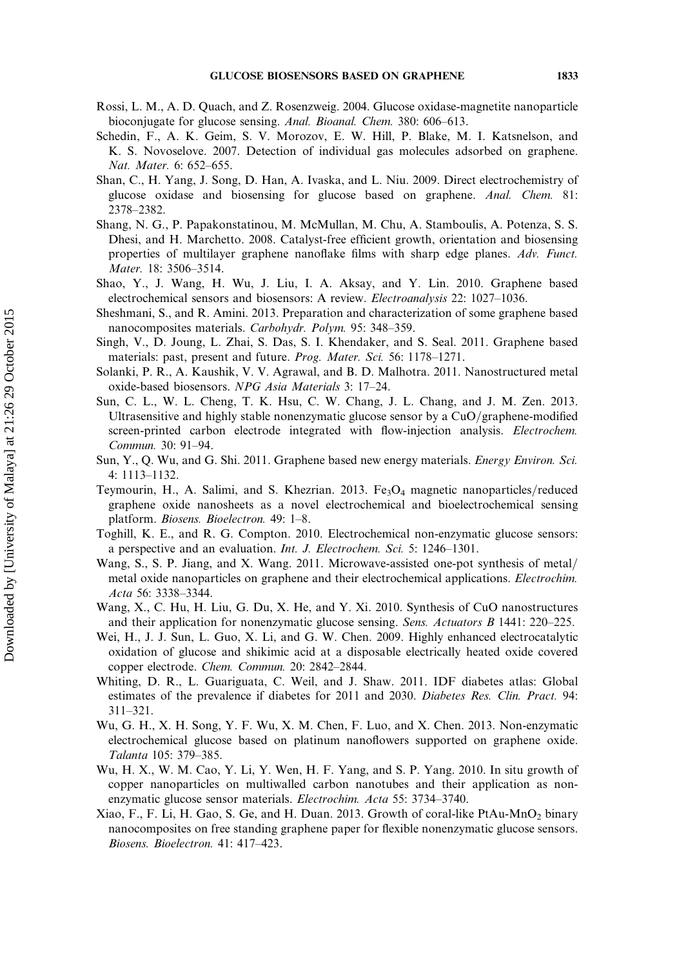- Rossi, L. M., A. D. Quach, and Z. Rosenzweig. 2004. Glucose oxidase-magnetite nanoparticle bioconjugate for glucose sensing. Anal. Bioanal. Chem. 380: 606–613.
- Schedin, F., A. K. Geim, S. V. Morozov, E. W. Hill, P. Blake, M. I. Katsnelson, and K. S. Novoselove. 2007. Detection of individual gas molecules adsorbed on graphene. Nat. Mater. 6: 652–655.
- Shan, C., H. Yang, J. Song, D. Han, A. Ivaska, and L. Niu. 2009. Direct electrochemistry of glucose oxidase and biosensing for glucose based on graphene. Anal. Chem. 81: 2378–2382.
- Shang, N. G., P. Papakonstatinou, M. McMullan, M. Chu, A. Stamboulis, A. Potenza, S. S. Dhesi, and H. Marchetto. 2008. Catalyst-free efficient growth, orientation and biosensing properties of multilayer graphene nanoflake films with sharp edge planes. Adv. Funct. Mater. 18: 3506–3514.
- Shao, Y., J. Wang, H. Wu, J. Liu, I. A. Aksay, and Y. Lin. 2010. Graphene based electrochemical sensors and biosensors: A review. Electroanalysis 22: 1027–1036.
- Sheshmani, S., and R. Amini. 2013. Preparation and characterization of some graphene based nanocomposites materials. Carbohydr. Polym. 95: 348–359.
- Singh, V., D. Joung, L. Zhai, S. Das, S. I. Khendaker, and S. Seal. 2011. Graphene based materials: past, present and future. Prog. Mater. Sci. 56: 1178–1271.
- Solanki, P. R., A. Kaushik, V. V. Agrawal, and B. D. Malhotra. 2011. Nanostructured metal oxide-based biosensors. NPG Asia Materials 3: 17–24.
- Sun, C. L., W. L. Cheng, T. K. Hsu, C. W. Chang, J. L. Chang, and J. M. Zen. 2013. Ultrasensitive and highly stable nonenzymatic glucose sensor by a  $CuO/graph$ ene-modified screen-printed carbon electrode integrated with flow-injection analysis. Electrochem. Commun. 30: 91–94.
- Sun, Y., Q. Wu, and G. Shi. 2011. Graphene based new energy materials. Energy Environ. Sci. 4: 1113–1132.
- Teymourin, H., A. Salimi, and S. Khezrian. 2013. Fe<sub>3</sub>O<sub>4</sub> magnetic nanoparticles/reduced graphene oxide nanosheets as a novel electrochemical and bioelectrochemical sensing platform. Biosens. Bioelectron. 49: 1–8.
- Toghill, K. E., and R. G. Compton. 2010. Electrochemical non-enzymatic glucose sensors: a perspective and an evaluation. Int. J. Electrochem. Sci. 5: 1246–1301.
- Wang, S., S. P. Jiang, and X. Wang. 2011. Microwave-assisted one-pot synthesis of metal/ metal oxide nanoparticles on graphene and their electrochemical applications. Electrochim. Acta 56: 3338–3344.
- Wang, X., C. Hu, H. Liu, G. Du, X. He, and Y. Xi. 2010. Synthesis of CuO nanostructures and their application for nonenzymatic glucose sensing. Sens. Actuators B 1441: 220–225.
- Wei, H., J. J. Sun, L. Guo, X. Li, and G. W. Chen. 2009. Highly enhanced electrocatalytic oxidation of glucose and shikimic acid at a disposable electrically heated oxide covered copper electrode. Chem. Commun. 20: 2842–2844.
- Whiting, D. R., L. Guariguata, C. Weil, and J. Shaw. 2011. IDF diabetes atlas: Global estimates of the prevalence if diabetes for 2011 and 2030. Diabetes Res. Clin. Pract. 94: 311–321.
- Wu, G. H., X. H. Song, Y. F. Wu, X. M. Chen, F. Luo, and X. Chen. 2013. Non-enzymatic electrochemical glucose based on platinum nanoflowers supported on graphene oxide. Talanta 105: 379–385.
- Wu, H. X., W. M. Cao, Y. Li, Y. Wen, H. F. Yang, and S. P. Yang. 2010. In situ growth of copper nanoparticles on multiwalled carbon nanotubes and their application as nonenzymatic glucose sensor materials. Electrochim. Acta 55: 3734–3740.
- Xiao, F., F. Li, H. Gao, S. Ge, and H. Duan. 2013. Growth of coral-like PtAu-MnO2 binary nanocomposites on free standing graphene paper for flexible nonenzymatic glucose sensors. Biosens. Bioelectron. 41: 417–423.